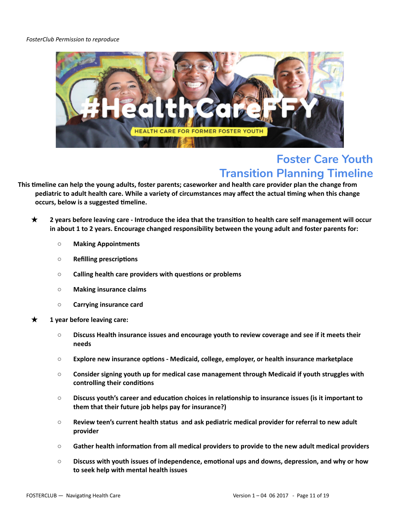## *FosterClub Permission to reproduce*



## **Foster Care Youth Transition Planning Timeline**

This timeline can help the young adults, foster parents; caseworker and health care provider plan the change from pediatric to adult health care. While a variety of circumstances may affect the actual timing when this change **occurs, below is a suggested meline.**

- $\star$  2 years before leaving care Introduce the idea that the transition to health care self management will occur **in about 1 to 2 years. Encourage changed responsibility between the young adult and foster parents for:**
	- **○ Making Appointments**
	- $\circ$  **Refilling prescriptions**
	- $\circ$  **Calling health care providers with questions or problems**
	- **○ Making insurance claims**
	- **○ Carrying insurance card**
- 삻 **1 year before leaving care:**
	- **○ Discuss Health insurance issues and encourage youth to review coverage and see if it meets their needs**
	- **○ Explore new insurance opons ‐ Medicaid, college, employer, or health insurance marketplace**
	- **○ Consider signing youth up for medical case management through Medicaid if youth struggles with controlling** their conditions
	- **○ Discuss youth's career and educaon choices in relaonship to insurance issues (is it important to them that their future job helps pay for insurance?)**
	- **○ Review teen's current health status and ask pediatric medical provider for referral to new adult provider**
	- $\circ$  **Gather** health information from all medical providers to provide to the new adult medical providers
	- $\circ$  **Discuss with youth issues of independence, emotional ups and downs, depression, and why or how to seek help with mental health issues**